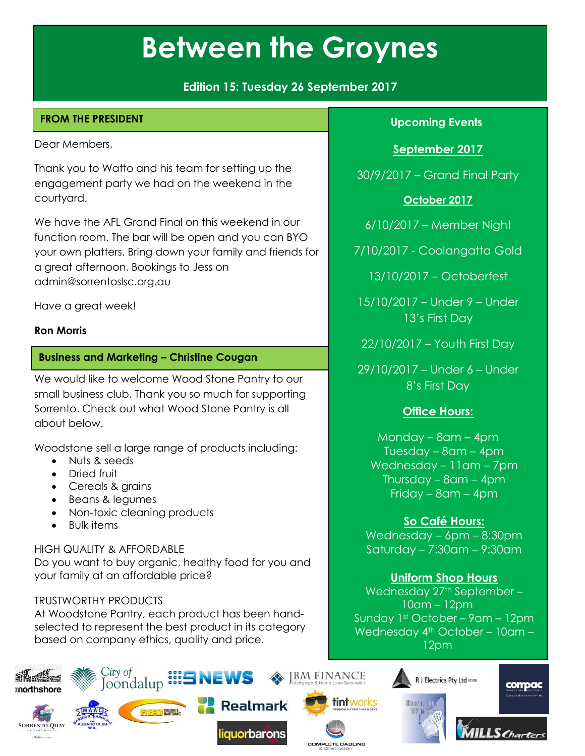**Edition 15: Tuesday 26 September 2017**

## **FROM THE PRESIDENT**

Dear Members,

Thank you to Watto and his team for setting up the engagement party we had on the weekend in the courtyard.

We have the AFL Grand Final on this weekend in our function room. The bar will be open and you can BYO your own platters. Bring down your family and friends for a great afternoon. Bookings to Jess on admin@sorrentoslsc.org.au

Have a great week!

#### **Ron Morris**

#### **Business and Marketing – Christine Cougan**

We would like to welcome Wood Stone Pantry to our small business club. Thank you so much for supporting Sorrento. Check out what Wood Stone Pantry is all about below.

Woodstone sell a large range of products including:

- Nuts & seeds
- Dried fruit
- Cereals & grains
- Beans & legumes
- Non-toxic cleaning products
- Bulk items

HIGH QUALITY & AFFORDABLE Do you want to buy organic, healthy food for you and your family at an affordable price?

#### TRUSTWORTHY PRODUCTS

At Woodstone Pantry, each product has been handselected to represent the best product in its category based on company ethics, quality and price.

## **Upcoming Events**

## **September 2017**

30/9/2017 – Grand Final Party

#### **October 2017**

6/10/2017 – Member Night

7/10/2017 - Coolangatta Gold

13/10/2017 – Octoberfest

15/10/2017 – Under 9 – Under 13's First Day

22/10/2017 – Youth First Day

29/10/2017 – Under 6 – Under 8's First Day

## **Office Hours:**

Monday – 8am – 4pm Tuesday – 8am – 4pm Wednesday – 11am – 7pm Thursday – 8am – 4pm Friday – 8am – 4pm

## **So Café Hours:**

Wednesday – 6pm – 8:30pm Saturday – 7:30am – 9:30am

## **Uniform Shop Hours**

Wednesday 27th September -10am – 12pm Sunday 1st October – 9am – 12pm Wednesday 4<sup>th</sup> October - 10am -12pm





compac





tintworks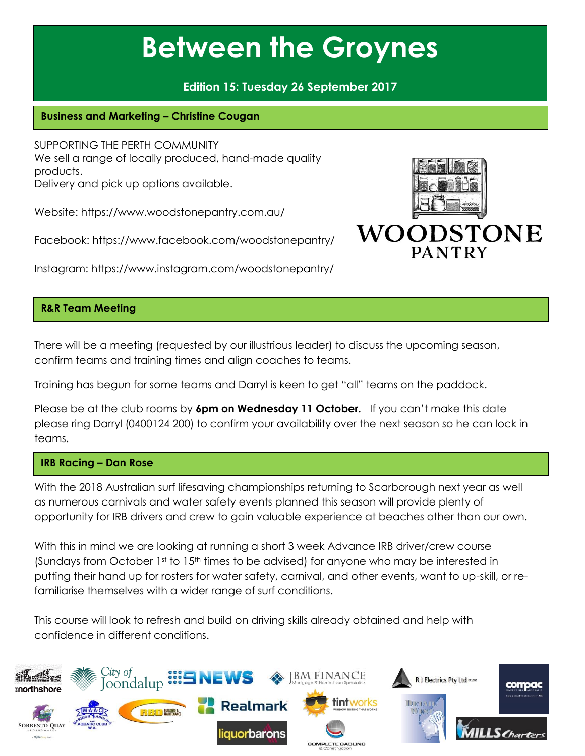## **Edition 15: Tuesday 26 September 2017**

## **Business and Marketing – Christine Cougan**

SUPPORTING THE PERTH COMMUNITY We sell a range of locally produced, hand-made quality products. Delivery and pick up options available.

Website: <https://www.woodstonepantry.com.au/>

Facebook: <https://www.facebook.com/woodstonepantry/>

Instagram: <https://www.instagram.com/woodstonepantry/>

## **R&R Team Meeting**

There will be a meeting (requested by our illustrious leader) to discuss the upcoming season, confirm teams and training times and align coaches to teams.

Training has begun for some teams and Darryl is keen to get "all" teams on the paddock.

Please be at the club rooms by **6pm on Wednesday 11 October.** If you can't make this date please ring Darryl (0400124 200) to confirm your availability over the next season so he can lock in teams.

#### **IRB Racing – Dan Rose**

With the 2018 Australian surf lifesaving championships returning to Scarborough next year as well as numerous carnivals and water safety events planned this season will provide plenty of opportunity for IRB drivers and crew to gain valuable experience at beaches other than our own.

With this in mind we are looking at running a short 3 week Advance IRB driver/crew course (Sundays from October  $1<sup>st</sup>$  to  $15<sup>th</sup>$  times to be advised) for anyone who may be interested in putting their hand up for rosters for water safety, carnival, and other events, want to up-skill, or refamiliarise themselves with a wider range of surf conditions.

This course will look to refresh and build on driving skills already obtained and help with confidence in different conditions.



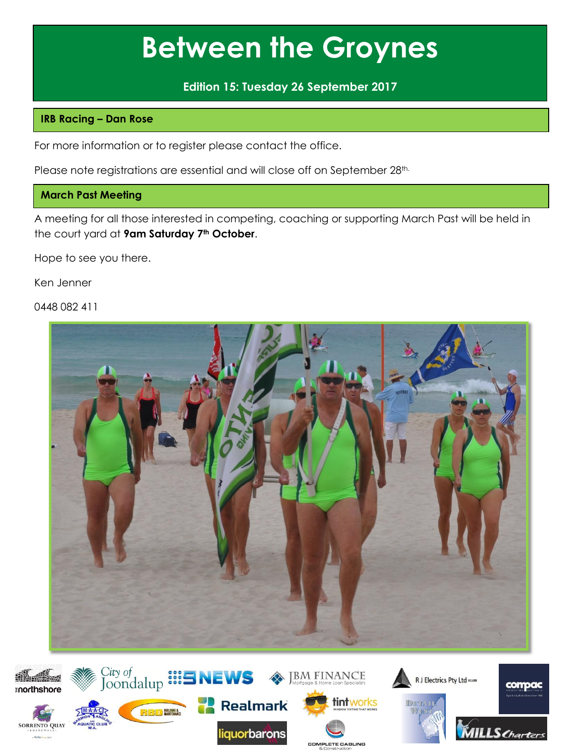**Edition 15: Tuesday 26 September 2017**

### **IRB Racing – Dan Rose**

For more information or to register please contact the office.

Please note registrations are essential and will close off on September 28th.

#### **March Past Meeting**

A meeting for all those interested in competing, coaching or supporting March Past will be held in the court yard at **9am Saturday 7th October**.

Hope to see you there.

Ken Jenner

0448 082 411



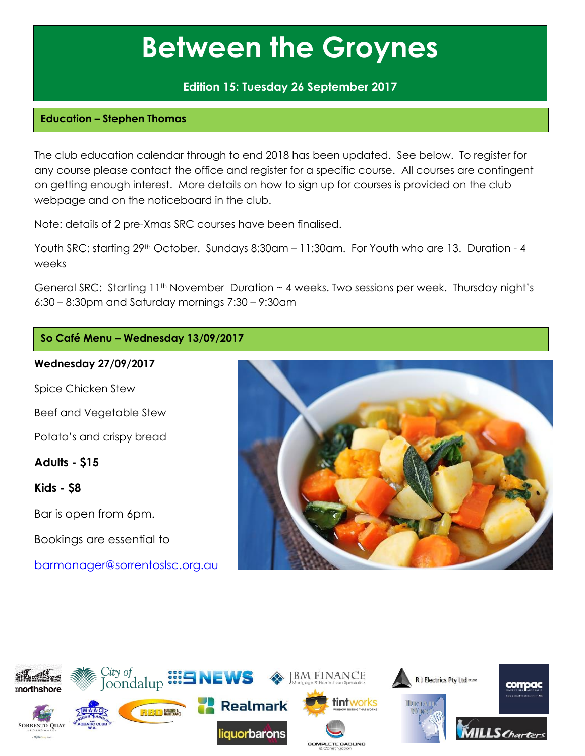### **Edition 15: Tuesday 26 September 2017**

#### **Education – Stephen Thomas**

The club education calendar through to end 2018 has been updated. See below. To register for any course please contact the office and register for a specific course. All courses are contingent on getting enough interest. More details on how to sign up for courses is provided on the club webpage and on the noticeboard in the club.

Note: details of 2 pre-Xmas SRC courses have been finalised.

Youth SRC: starting 29<sup>th</sup> October. Sundays 8:30am - 11:30am. For Youth who are 13. Duration - 4 weeks

General SRC: Starting  $11<sup>th</sup>$  November Duration  $\sim$  4 weeks. Two sessions per week. Thursday night's 6:30 – 8:30pm and Saturday mornings 7:30 – 9:30am

## **So Café Menu – Wednesday 13/09/2017**

#### **Wednesday 27/09/2017**

Spice Chicken Stew

Beef and Vegetable Stew

Potato's and crispy bread

**Adults - \$15**

**Kids - \$8** 

Bar is open from 6pm.

Bookings are essential to

[barmanager@sorrentoslsc.org.au](mailto:barmanager@sorrentoslsc.org.au)



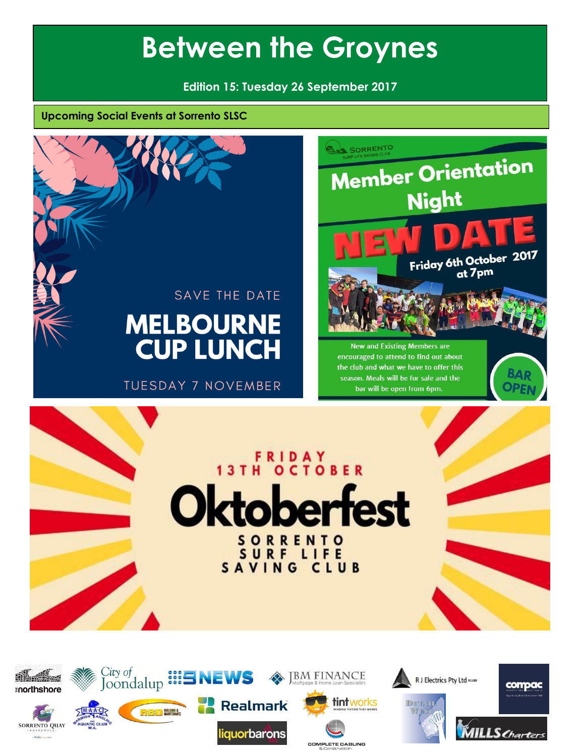**Edition 15: Tuesday 26 September 2017**

**Upcoming Social Events at Sorrento SLSC** 











**COMPLETE CABLING**